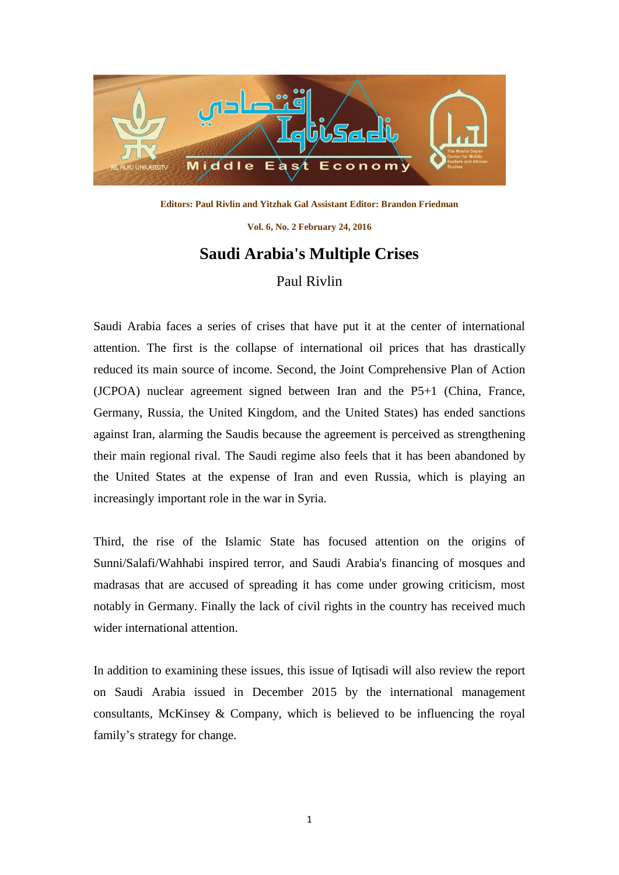

**Editors: Paul Rivlin and Yitzhak Gal Assistant Editor: Brandon Friedman**

**Vol. 6, No. 2 February 24, 2016**

## **Saudi Arabia's Multiple Crises** Paul Rivlin

Saudi Arabia faces a series of crises that have put it at the center of international attention. The first is the collapse of international oil prices that has drastically reduced its main source of income. Second, the Joint Comprehensive Plan of Action (JCPOA) nuclear agreement signed between Iran and the P5+1 (China, France, Germany, Russia, the United Kingdom, and the United States) has ended sanctions against Iran, alarming the Saudis because the agreement is perceived as strengthening their main regional rival. The Saudi regime also feels that it has been abandoned by the United States at the expense of Iran and even Russia, which is playing an increasingly important role in the war in Syria.

Third, the rise of the Islamic State has focused attention on the origins of Sunni/Salafi/Wahhabi inspired terror, and Saudi Arabia's financing of mosques and madrasas that are accused of spreading it has come under growing criticism, most notably in Germany. Finally the lack of civil rights in the country has received much wider international attention.

In addition to examining these issues, this issue of Iqtisadi will also review the report on Saudi Arabia issued in December 2015 by the international management consultants, McKinsey & Company, which is believed to be influencing the royal family's strategy for change.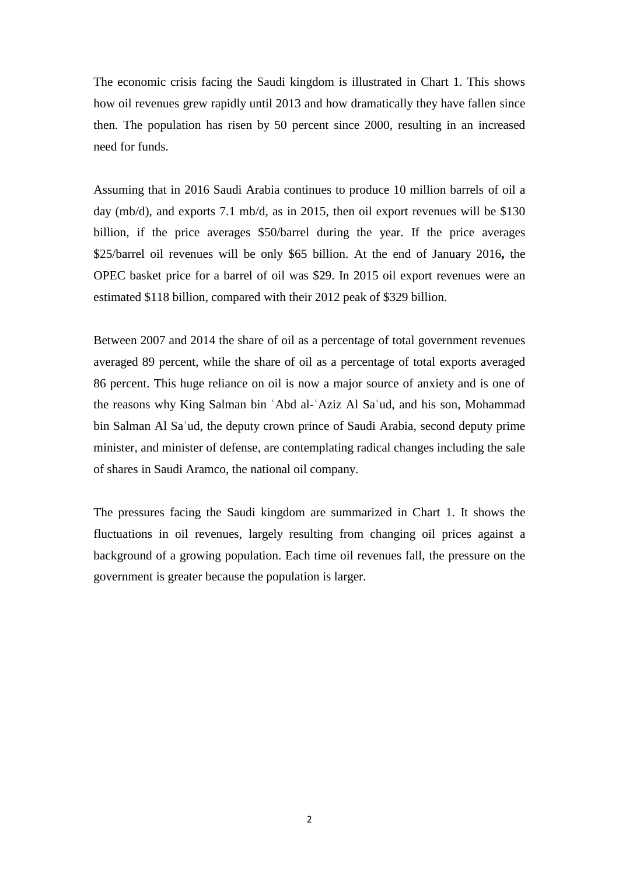The economic crisis facing the Saudi kingdom is illustrated in Chart 1. This shows how oil revenues grew rapidly until 2013 and how dramatically they have fallen since then. The population has risen by 50 percent since 2000, resulting in an increased need for funds.

Assuming that in 2016 Saudi Arabia continues to produce 10 million barrels of oil a day (mb/d), and exports 7.1 mb/d, as in 2015, then oil export revenues will be \$130 billion, if the price averages \$50/barrel during the year. If the price averages \$25/barrel oil revenues will be only \$65 billion. At the end of January 2016**,** the OPEC basket price for a barrel of oil was \$29. In 2015 oil export revenues were an estimated \$118 billion, compared with their 2012 peak of \$329 billion.

Between 2007 and 2014 the share of oil as a percentage of total government revenues averaged 89 percent, while the share of oil as a percentage of total exports averaged 86 percent. This huge reliance on oil is now a major source of anxiety and is one of the reasons why King Salman bin ʿAbd al-ʿAziz Al Saʿud, and his son, Mohammad bin Salman Al Saʿud, the deputy [crown prince](https://en.wikipedia.org/wiki/Crown_prince) of [Saudi Arabia,](https://en.wikipedia.org/wiki/Saudi_Arabia) second deputy prime minister, and minister of defense, are contemplating radical changes including the sale of shares in Saudi Aramco, the national oil company.

The pressures facing the Saudi kingdom are summarized in Chart 1. It shows the fluctuations in oil revenues, largely resulting from changing oil prices against a background of a growing population. Each time oil revenues fall, the pressure on the government is greater because the population is larger.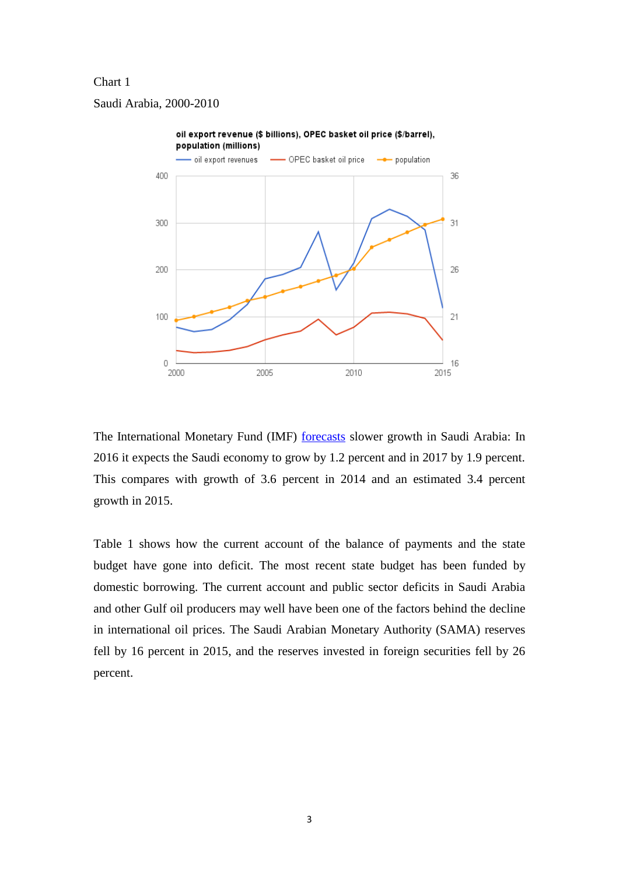## Chart 1

Saudi Arabia, 2000-2010



The International Monetary Fund (IMF) [forecasts](http://www.imf.org/external/pubs/ft/weo/2016/update/01/index.htm) slower growth in Saudi Arabia: In 2016 it expects the Saudi economy to grow by 1.2 percent and in 2017 by 1.9 percent. This compares with growth of 3.6 percent in 2014 and an estimated 3.4 percent growth in 2015.

Table 1 shows how the current account of the balance of payments and the state budget have gone into deficit. The most recent state budget has been funded by domestic borrowing. The current account and public sector deficits in Saudi Arabia and other Gulf oil producers may well have been one of the factors behind the decline in international oil prices. The Saudi Arabian Monetary Authority (SAMA) reserves fell by 16 percent in 2015, and the reserves invested in foreign securities fell by 26 percent.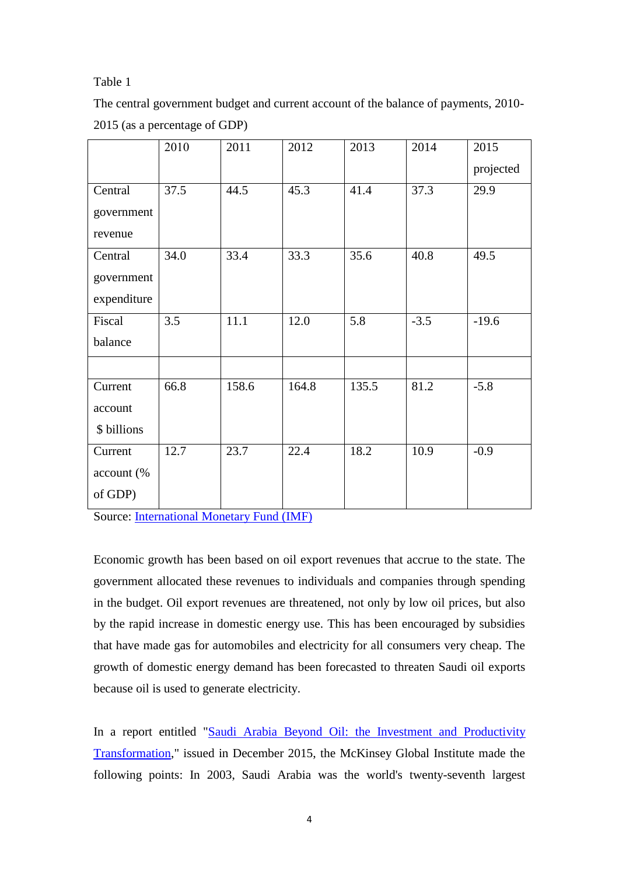## Table 1

The central government budget and current account of the balance of payments, 2010- 2015 (as a percentage of GDP)

|             | 2010 | 2011  | 2012  | 2013  | 2014   | 2015      |
|-------------|------|-------|-------|-------|--------|-----------|
|             |      |       |       |       |        | projected |
| Central     | 37.5 | 44.5  | 45.3  | 41.4  | 37.3   | 29.9      |
| government  |      |       |       |       |        |           |
| revenue     |      |       |       |       |        |           |
| Central     | 34.0 | 33.4  | 33.3  | 35.6  | 40.8   | 49.5      |
| government  |      |       |       |       |        |           |
| expenditure |      |       |       |       |        |           |
| Fiscal      | 3.5  | 11.1  | 12.0  | 5.8   | $-3.5$ | $-19.6$   |
| balance     |      |       |       |       |        |           |
|             |      |       |       |       |        |           |
| Current     | 66.8 | 158.6 | 164.8 | 135.5 | 81.2   | $-5.8$    |
| account     |      |       |       |       |        |           |
| \$ billions |      |       |       |       |        |           |
| Current     | 12.7 | 23.7  | 22.4  | 18.2  | 10.9   | $-0.9$    |
| account (%  |      |       |       |       |        |           |
| of GDP)     |      |       |       |       |        |           |

Source: [International Monetary Fund \(IMF\)](http://www.imf.org/external/pubs/ft/scr/2015/cr15251.pdf)

Economic growth has been based on oil export revenues that accrue to the state. The government allocated these revenues to individuals and companies through spending in the budget. Oil export revenues are threatened, not only by low oil prices, but also by the rapid increase in domestic energy use. This has been encouraged by subsidies that have made gas for automobiles and electricity for all consumers very cheap. The growth of domestic energy demand has been forecasted to threaten Saudi oil exports because oil is used to generate electricity.

In a report entitled "Saudi Arabia Beyond Oil: the Investment and Productivity [Transformation,](http://www.mckinsey.com/insights/growth/moving_saudi_arabias_economy_beyond_oil)" issued in December 2015, the McKinsey Global Institute made the following points: In 2003, Saudi Arabia was the world's twenty-seventh largest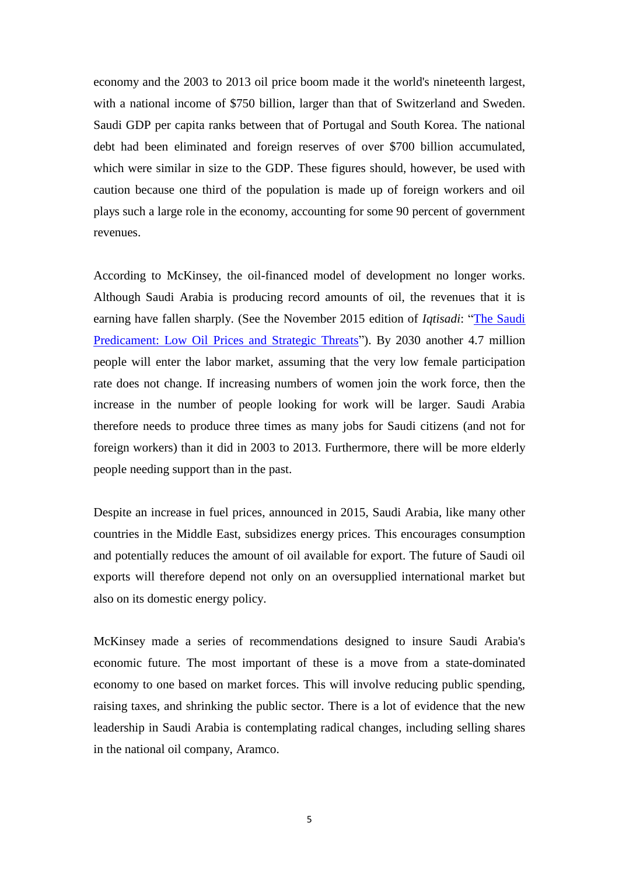economy and the 2003 to 2013 oil price boom made it the world's nineteenth largest, with a national income of \$750 billion, larger than that of Switzerland and Sweden. Saudi GDP per capita ranks between that of Portugal and South Korea. The national debt had been eliminated and foreign reserves of over \$700 billion accumulated, which were similar in size to the GDP. These figures should, however, be used with caution because one third of the population is made up of foreign workers and oil plays such a large role in the economy, accounting for some 90 percent of government revenues.

According to McKinsey, the oil-financed model of development no longer works. Although Saudi Arabia is producing record amounts of oil, the revenues that it is earning have fallen sharply. (See the November 2015 edition of *Iqtisadi*: ["The Saudi](http://dayan.org/content/iqtisadi-saudi-predicament-low-oil-prices-and-strategic-threats)  [Predicament: Low Oil Prices and Strategic Threats"](http://dayan.org/content/iqtisadi-saudi-predicament-low-oil-prices-and-strategic-threats)). By 2030 another 4.7 million people will enter the labor market, assuming that the very low female participation rate does not change. If increasing numbers of women join the work force, then the increase in the number of people looking for work will be larger. Saudi Arabia therefore needs to produce three times as many jobs for Saudi citizens (and not for foreign workers) than it did in 2003 to 2013. Furthermore, there will be more elderly people needing support than in the past.

Despite an increase in fuel prices, announced in 2015, Saudi Arabia, like many other countries in the Middle East, subsidizes energy prices. This encourages consumption and potentially reduces the amount of oil available for export. The future of Saudi oil exports will therefore depend not only on an oversupplied international market but also on its domestic energy policy.

McKinsey made a series of recommendations designed to insure Saudi Arabia's economic future. The most important of these is a move from a state-dominated economy to one based on market forces. This will involve reducing public spending, raising taxes, and shrinking the public sector. There is a lot of evidence that the new leadership in Saudi Arabia is contemplating radical changes, including selling shares in the national oil company, Aramco.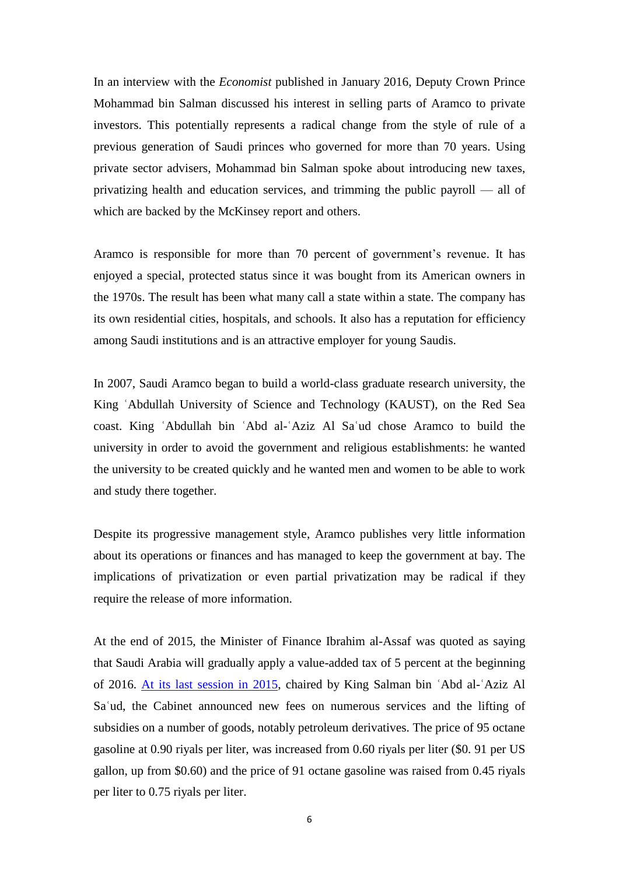In an interview with the *Economist* published in January 2016, [Deputy Crown Prince](http://www.nytimes.com/interactive/2016/01/24/world/middleeast/the-big-four-in-saudi-arabia-government.html)  [Mohammad bin Salman](http://www.nytimes.com/interactive/2016/01/24/world/middleeast/the-big-four-in-saudi-arabia-government.html) discussed his interest in selling parts of Aramco to private investors. This potentially represents a radical change from the style of rule of a previous generation of Saudi princes who governed for more than 70 years. Using private sector advisers, Mohammad bin Salman spoke about introducing new taxes, privatizing health and education services, and trimming the public payroll — all of which are backed by the McKinsey report and others.

Aramco is responsible for more than 70 percent of government's revenue. It has enjoyed a special, protected status since it was bought from its American owners in the 1970s. The result has been what many call a state within a state. The company has its own residential cities, hospitals, and schools. It also has a reputation for efficiency among Saudi institutions and is an attractive employer for young Saudis.

In 2007, Saudi Aramco began to build a world-class graduate research university, the King ʿAbdullah University of Science and Technology (KAUST), on the Red Sea coast. King ʿAbdullah bin ʿAbd al-ʿAziz Al Saʿud chose Aramco to build the university in order to avoid the government and religious establishments: he wanted the university to be created quickly and he wanted men and women to be able to work and study there together.

Despite its progressive management style, Aramco publishes very little information about its operations or finances and has managed to keep the government at bay. The implications of privatization or even partial privatization may be radical if they require the release of more information.

At the end of 2015, the Minister of Finance [Ibrahim al-Assaf](http://www.alhayat.com/m/story/13106514) was quoted as saying that Saudi Arabia will gradually apply a value-added tax of 5 percent at the beginning of 2016. [At its last session in 2015,](http://www.al-monitor.com/pulse/originals/2016/01/saudi-arabia-oil-hike-cut-subsidies-taxes.html#ixzz3zZvU6nXa) chaired by King Salman bin ʿAbd al-ʿAziz Al Saʿud, the Cabinet announced new fees on [numerous services](http://www.alriyadh.com/1115787) and the [lifting of](http://www.spa.gov.sa/details.php?id=357542)  [subsidies](http://www.spa.gov.sa/details.php?id=357542) on a number of goods, notably petroleum derivatives. The price of 95 octane gasoline at 0.90 riyals per liter, was increased from 0.60 riyals per liter (\$0. 91 per US gallon, up from \$0.60) and [the price](http://www.wsj.com/articles/saudi-arabia-sharply-raises-prices-of-domestic-fuel-1451323028) of 91 octane gasoline was raised from 0.45 riyals per liter to 0.75 riyals per liter.